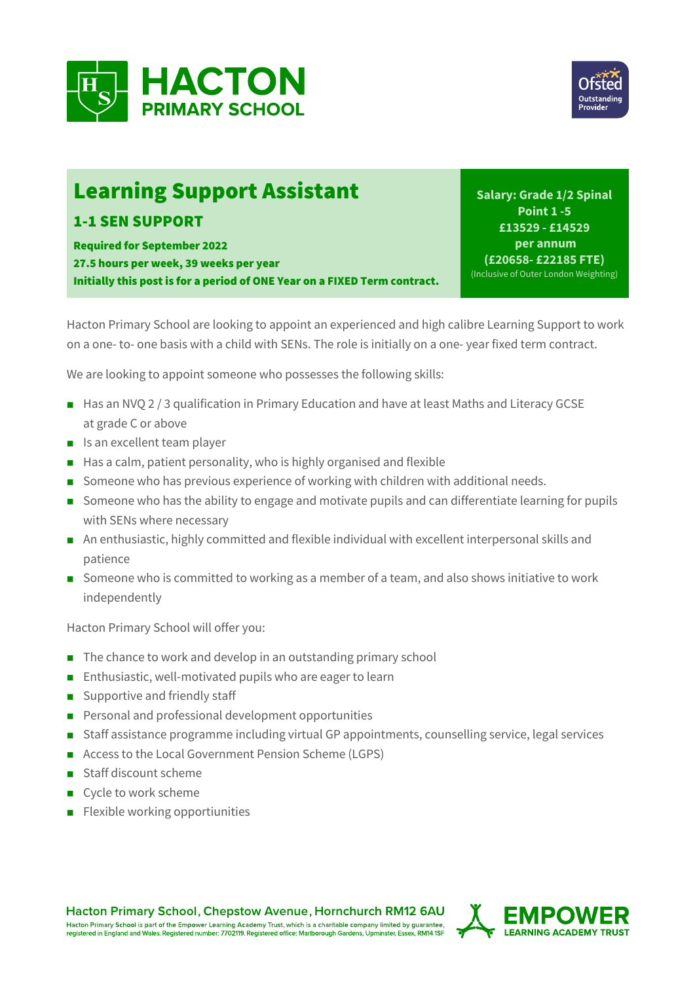



## Learning Support Assistant

## 1-1 SEN SUPPORT

Required for September 2022 27.5 hours per week, 39 weeks per year Initially this post is for a period of ONE Year on a FIXED Term contract.

**Salary: Grade 1/2 Spinal Point 1 -5 £13529 - £14529 per annum (£20658- £22185 FTE)** (Inclusive of Outer London Weighting)

Hacton Primary School are looking to appoint an experienced and high calibre Learning Support to work on a one- to- one basis with a child with SENs. The role is initially on a one- year fixed term contract.

We are looking to appoint someone who possesses the following skills:

- Has an NVO 2 / 3 qualification in Primary Education and have at least Maths and Literacy GCSE at grade C or above
- $\blacksquare$  Is an excellent team player
- $\blacksquare$  Has a calm, patient personality, who is highly organised and flexible
- n Someone who has previous experience of working with children with additional needs.
- Someone who has the ability to engage and motivate pupils and can differentiate learning for pupils with SENs where necessary
- n An enthusiastic, highly committed and flexible individual with excellent interpersonal skills and patience
- Someone who is committed to working as a member of a team, and also shows initiative to work independently

Hacton Primary School will offer you:

- $\blacksquare$  The chance to work and develop in an outstanding primary school
- $\blacksquare$  Enthusiastic, well-motivated pupils who are eager to learn
- $\Box$  Supportive and friendly staff
- **n** Personal and professional development opportunities
- Staff assistance programme including virtual GP appointments, counselling service, legal services
- Access to the Local Government Pension Scheme (LGPS)
- Staff discount scheme
- $\blacksquare$  Cycle to work scheme
- $\blacksquare$  Flexible working opportiunities

**Hacton Primary School, Chepstow Avenue, Hornchurch RM12 6AU** Hacton Primary School is part of the Empower Learning Academy Trust, which is a charitable company limited by guarantee,<br>registered in England and Wales. Registered number: 7702119. Registered office: Marlborough Gardens,